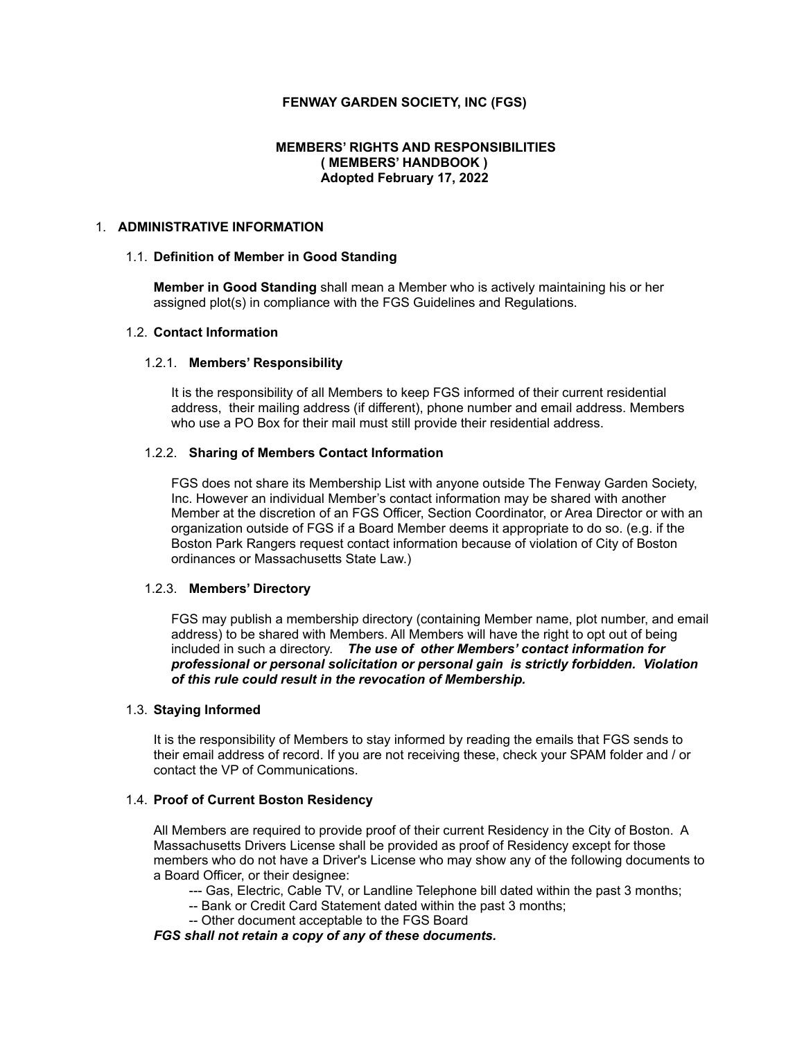## **FENWAY GARDEN SOCIETY, INC (FGS)**

### **MEMBERS' RIGHTS AND RESPONSIBILITIES ( MEMBERS' HANDBOOK ) Adopted February 17, 2022**

## 1. **ADMINISTRATIVE INFORMATION**

#### 1.1. **Definition of Member in Good Standing**

**Member in Good Standing** shall mean a Member who is actively maintaining his or her assigned plot(s) in compliance with the FGS Guidelines and Regulations.

#### 1.2. **Contact Information**

#### 1.2.1. **Members' Responsibility**

It is the responsibility of all Members to keep FGS informed of their current residential address, their mailing address (if different), phone number and email address. Members who use a PO Box for their mail must still provide their residential address.

#### 1.2.2. **Sharing of Members Contact Information**

FGS does not share its Membership List with anyone outside The Fenway Garden Society, Inc. However an individual Member's contact information may be shared with another Member at the discretion of an FGS Officer, Section Coordinator, or Area Director or with an organization outside of FGS if a Board Member deems it appropriate to do so. (e.g. if the Boston Park Rangers request contact information because of violation of City of Boston ordinances or Massachusetts State Law.)

#### 1.2.3. **Members' Directory**

FGS may publish a membership directory (containing Member name, plot number, and email address) to be shared with Members. All Members will have the right to opt out of being included in such a directory. *The use of other Members' contact information for professional or personal solicitation or personal gain is strictly forbidden. Violation of this rule could result in the revocation of Membership.*

#### 1.3. **Staying Informed**

It is the responsibility of Members to stay informed by reading the emails that FGS sends to their email address of record. If you are not receiving these, check your SPAM folder and / or contact the VP of Communications.

### 1.4. **Proof of Current Boston Residency**

All Members are required to provide proof of their current Residency in the City of Boston. A Massachusetts Drivers License shall be provided as proof of Residency except for those members who do not have a Driver's License who may show any of the following documents to a Board Officer, or their designee:

- --- Gas, Electric, Cable TV, or Landline Telephone bill dated within the past 3 months;
- -- Bank or Credit Card Statement dated within the past 3 months;
- -- Other document acceptable to the FGS Board

*FGS shall not retain a copy of any of these documents.*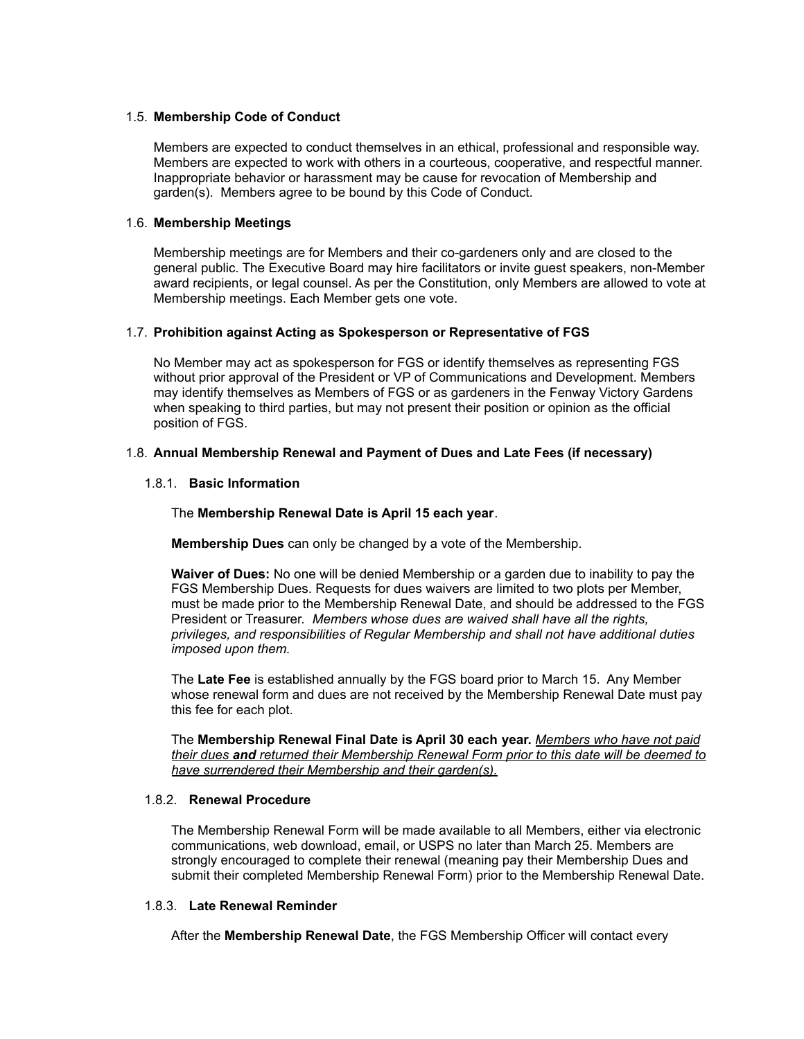### 1.5. **Membership Code of Conduct**

Members are expected to conduct themselves in an ethical, professional and responsible way. Members are expected to work with others in a courteous, cooperative, and respectful manner. Inappropriate behavior or harassment may be cause for revocation of Membership and garden(s). Members agree to be bound by this Code of Conduct.

## 1.6. **Membership Meetings**

Membership meetings are for Members and their co-gardeners only and are closed to the general public. The Executive Board may hire facilitators or invite guest speakers, non-Member award recipients, or legal counsel. As per the Constitution, only Members are allowed to vote at Membership meetings. Each Member gets one vote.

## 1.7. **Prohibition against Acting as Spokesperson or Representative of FGS**

No Member may act as spokesperson for FGS or identify themselves as representing FGS without prior approval of the President or VP of Communications and Development. Members may identify themselves as Members of FGS or as gardeners in the Fenway Victory Gardens when speaking to third parties, but may not present their position or opinion as the official position of FGS.

## 1.8. **Annual Membership Renewal and Payment of Dues and Late Fees (if necessary)**

## 1.8.1. **Basic Information**

### The **Membership Renewal Date is April 15 each year**.

**Membership Dues** can only be changed by a vote of the Membership.

**Waiver of Dues:** No one will be denied Membership or a garden due to inability to pay the FGS Membership Dues. Requests for dues waivers are limited to two plots per Member, must be made prior to the Membership Renewal Date, and should be addressed to the FGS President or Treasurer. *Members whose dues are waived shall have all the rights, privileges, and responsibilities of Regular Membership and shall not have additional duties imposed upon them.*

The **Late Fee** is established annually by the FGS board prior to March 15. Any Member whose renewal form and dues are not received by the Membership Renewal Date must pay this fee for each plot.

The **Membership Renewal Final Date is April 30 each year.** *Members who have not paid their dues and returned their Membership Renewal Form prior to this date will be deemed to have surrendered their Membership and their garden(s).*

## 1.8.2. **Renewal Procedure**

The Membership Renewal Form will be made available to all Members, either via electronic communications, web download, email, or USPS no later than March 25. Members are strongly encouraged to complete their renewal (meaning pay their Membership Dues and submit their completed Membership Renewal Form) prior to the Membership Renewal Date.

### 1.8.3. **Late Renewal Reminder**

After the **Membership Renewal Date**, the FGS Membership Officer will contact every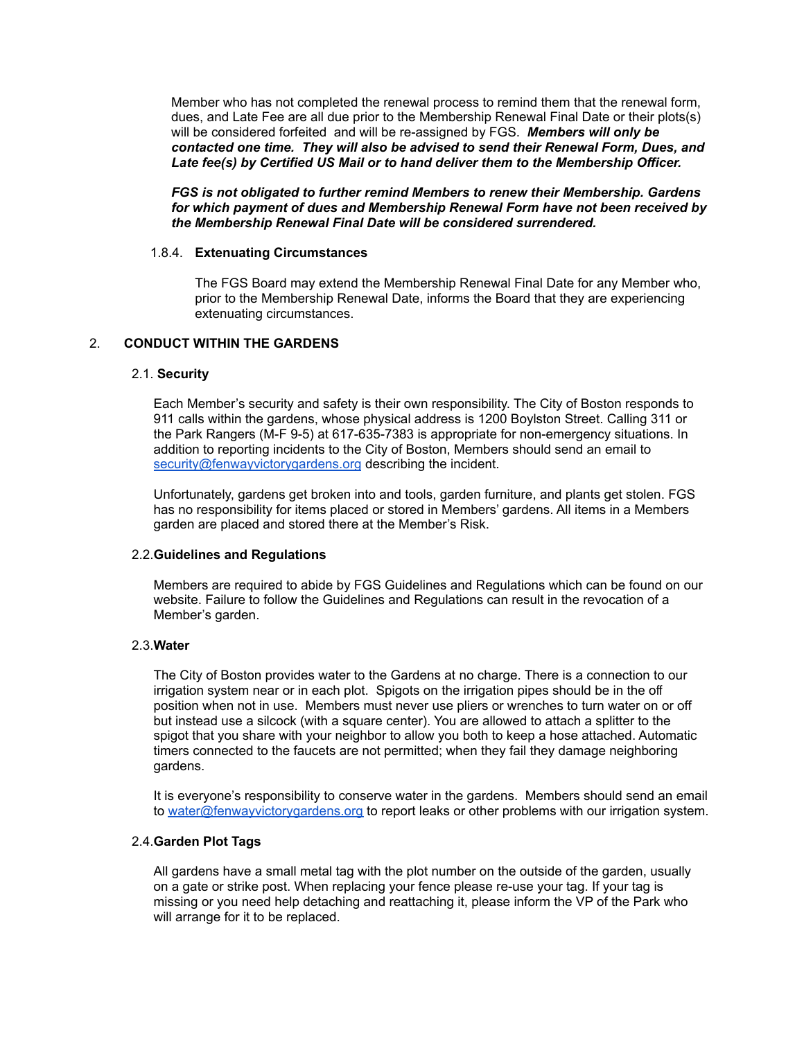Member who has not completed the renewal process to remind them that the renewal form, dues, and Late Fee are all due prior to the Membership Renewal Final Date or their plots(s) will be considered forfeited and will be re-assigned by FGS. *Members will only be contacted one time. They will also be advised to send their Renewal Form, Dues, and Late fee(s) by Certified US Mail or to hand deliver them to the Membership Officer.*

*FGS is not obligated to further remind Members to renew their Membership. Gardens for which payment of dues and Membership Renewal Form have not been received by the Membership Renewal Final Date will be considered surrendered.*

#### 1.8.4. **Extenuating Circumstances**

The FGS Board may extend the Membership Renewal Final Date for any Member who, prior to the Membership Renewal Date, informs the Board that they are experiencing extenuating circumstances.

### 2. **CONDUCT WITHIN THE GARDENS**

#### 2.1. **Security**

Each Member's security and safety is their own responsibility. The City of Boston responds to 911 calls within the gardens, whose physical address is 1200 Boylston Street. Calling 311 or the Park Rangers (M-F 9-5) at 617-635-7383 is appropriate for non-emergency situations. In addition to reporting incidents to the City of Boston, Members should send an email to [security@fenwayvictorygardens.org](mailto:security@fenwayvictorygardens.org) describing the incident.

Unfortunately, gardens get broken into and tools, garden furniture, and plants get stolen. FGS has no responsibility for items placed or stored in Members' gardens. All items in a Members garden are placed and stored there at the Member's Risk.

### 2.2.**Guidelines and Regulations**

Members are required to abide by FGS Guidelines and Regulations which can be found on our website. Failure to follow the Guidelines and Regulations can result in the revocation of a Member's garden.

### 2.3.**Water**

The City of Boston provides water to the Gardens at no charge. There is a connection to our irrigation system near or in each plot. Spigots on the irrigation pipes should be in the off position when not in use. Members must never use pliers or wrenches to turn water on or off but instead use a silcock (with a square center). You are allowed to attach a splitter to the spigot that you share with your neighbor to allow you both to keep a hose attached. Automatic timers connected to the faucets are not permitted; when they fail they damage neighboring gardens.

It is everyone's responsibility to conserve water in the gardens. Members should send an email to [water@fenwayvictorygardens.org](mailto:water@fenwayvictorygardens.org) to report leaks or other problems with our irrigation system.

### 2.4.**Garden Plot Tags**

All gardens have a small metal tag with the plot number on the outside of the garden, usually on a gate or strike post. When replacing your fence please re-use your tag. If your tag is missing or you need help detaching and reattaching it, please inform the VP of the Park who will arrange for it to be replaced.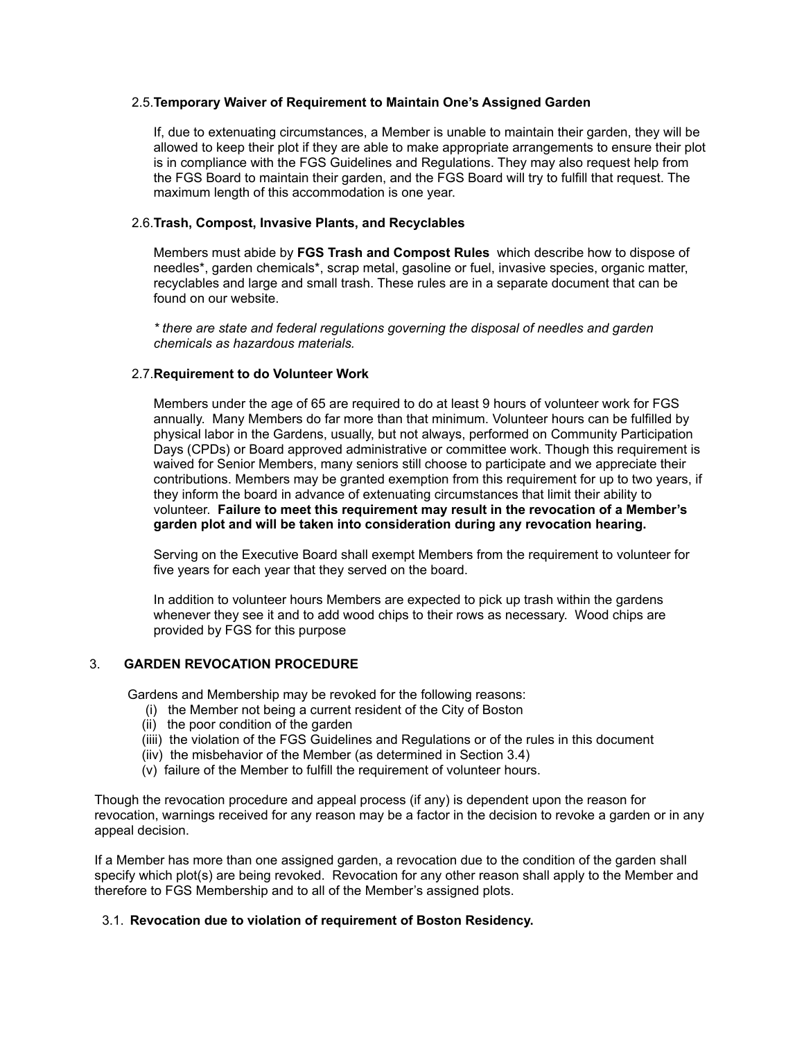#### 2.5.**Temporary Waiver of Requirement to Maintain One's Assigned Garden**

If, due to extenuating circumstances, a Member is unable to maintain their garden, they will be allowed to keep their plot if they are able to make appropriate arrangements to ensure their plot is in compliance with the FGS Guidelines and Regulations. They may also request help from the FGS Board to maintain their garden, and the FGS Board will try to fulfill that request. The maximum length of this accommodation is one year.

### 2.6.**Trash, Compost, Invasive Plants, and Recyclables**

Members must abide by **FGS Trash and Compost Rules** which describe how to dispose of needles\*, garden chemicals\*, scrap metal, gasoline or fuel, invasive species, organic matter, recyclables and large and small trash. These rules are in a separate document that can be found on our website.

*\* there are state and federal regulations governing the disposal of needles and garden chemicals as hazardous materials.*

### 2.7.**Requirement to do Volunteer Work**

Members under the age of 65 are required to do at least 9 hours of volunteer work for FGS annually. Many Members do far more than that minimum. Volunteer hours can be fulfilled by physical labor in the Gardens, usually, but not always, performed on Community Participation Days (CPDs) or Board approved administrative or committee work. Though this requirement is waived for Senior Members, many seniors still choose to participate and we appreciate their contributions. Members may be granted exemption from this requirement for up to two years, if they inform the board in advance of extenuating circumstances that limit their ability to volunteer. **Failure to meet this requirement may result in the revocation of a Member's garden plot and will be taken into consideration during any revocation hearing.**

Serving on the Executive Board shall exempt Members from the requirement to volunteer for five years for each year that they served on the board.

In addition to volunteer hours Members are expected to pick up trash within the gardens whenever they see it and to add wood chips to their rows as necessary. Wood chips are provided by FGS for this purpose

### 3. **GARDEN REVOCATION PROCEDURE**

Gardens and Membership may be revoked for the following reasons:

- (i) the Member not being a current resident of the City of Boston
- (ii) the poor condition of the garden
- (iiii) the violation of the FGS Guidelines and Regulations or of the rules in this document
- (iiv) the misbehavior of the Member (as determined in Section 3.4)
- (v) failure of the Member to fulfill the requirement of volunteer hours.

Though the revocation procedure and appeal process (if any) is dependent upon the reason for revocation, warnings received for any reason may be a factor in the decision to revoke a garden or in any appeal decision.

If a Member has more than one assigned garden, a revocation due to the condition of the garden shall specify which plot(s) are being revoked. Revocation for any other reason shall apply to the Member and therefore to FGS Membership and to all of the Member's assigned plots.

### 3.1. **Revocation due to violation of requirement of Boston Residency.**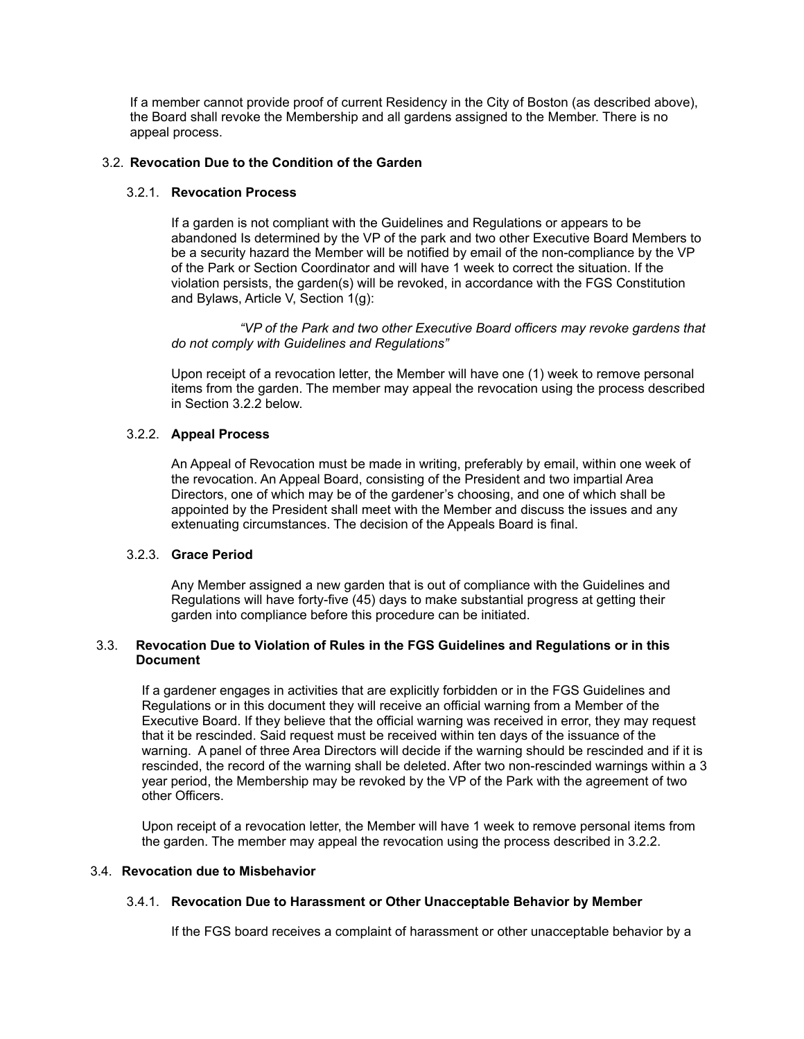If a member cannot provide proof of current Residency in the City of Boston (as described above), the Board shall revoke the Membership and all gardens assigned to the Member. There is no appeal process.

### 3.2. **Revocation Due to the Condition of the Garden**

### 3.2.1. **Revocation Process**

If a garden is not compliant with the Guidelines and Regulations or appears to be abandoned Is determined by the VP of the park and two other Executive Board Members to be a security hazard the Member will be notified by email of the non-compliance by the VP of the Park or Section Coordinator and will have 1 week to correct the situation. If the violation persists, the garden(s) will be revoked, in accordance with the FGS Constitution and Bylaws, Article V, Section 1(g):

*"VP of the Park and two other Executive Board officers may revoke gardens that do not comply with Guidelines and Regulations"*

Upon receipt of a revocation letter, the Member will have one (1) week to remove personal items from the garden. The member may appeal the revocation using the process described in Section 3.2.2 below.

## 3.2.2. **Appeal Process**

An Appeal of Revocation must be made in writing, preferably by email, within one week of the revocation. An Appeal Board, consisting of the President and two impartial Area Directors, one of which may be of the gardener's choosing, and one of which shall be appointed by the President shall meet with the Member and discuss the issues and any extenuating circumstances. The decision of the Appeals Board is final.

### 3.2.3. **Grace Period**

Any Member assigned a new garden that is out of compliance with the Guidelines and Regulations will have forty-five (45) days to make substantial progress at getting their garden into compliance before this procedure can be initiated.

## 3.3. **Revocation Due to Violation of Rules in the FGS Guidelines and Regulations or in this Document**

If a gardener engages in activities that are explicitly forbidden or in the FGS Guidelines and Regulations or in this document they will receive an official warning from a Member of the Executive Board. If they believe that the official warning was received in error, they may request that it be rescinded. Said request must be received within ten days of the issuance of the warning. A panel of three Area Directors will decide if the warning should be rescinded and if it is rescinded, the record of the warning shall be deleted. After two non-rescinded warnings within a 3 year period, the Membership may be revoked by the VP of the Park with the agreement of two other Officers.

Upon receipt of a revocation letter, the Member will have 1 week to remove personal items from the garden. The member may appeal the revocation using the process described in 3.2.2.

### 3.4. **Revocation due to Misbehavior**

# 3.4.1. **Revocation Due to Harassment or Other Unacceptable Behavior by Member**

If the FGS board receives a complaint of harassment or other unacceptable behavior by a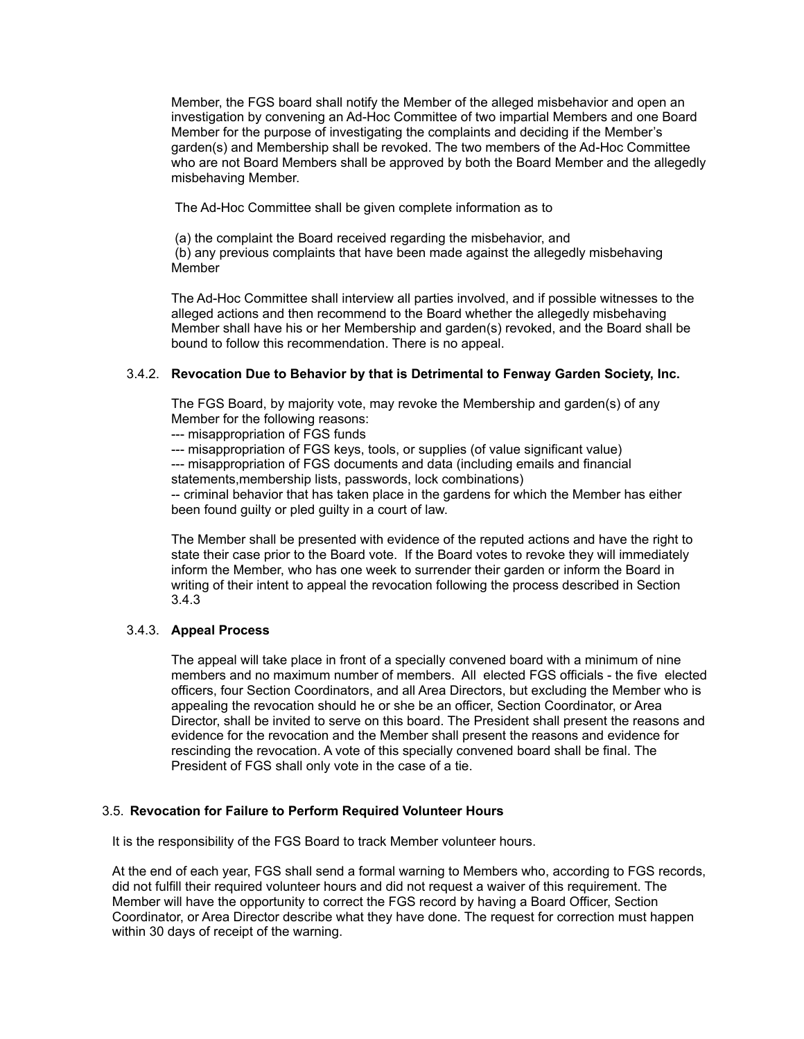Member, the FGS board shall notify the Member of the alleged misbehavior and open an investigation by convening an Ad-Hoc Committee of two impartial Members and one Board Member for the purpose of investigating the complaints and deciding if the Member's garden(s) and Membership shall be revoked. The two members of the Ad-Hoc Committee who are not Board Members shall be approved by both the Board Member and the allegedly misbehaving Member.

The Ad-Hoc Committee shall be given complete information as to

(a) the complaint the Board received regarding the misbehavior, and (b) any previous complaints that have been made against the allegedly misbehaving Member

The Ad-Hoc Committee shall interview all parties involved, and if possible witnesses to the alleged actions and then recommend to the Board whether the allegedly misbehaving Member shall have his or her Membership and garden(s) revoked, and the Board shall be bound to follow this recommendation. There is no appeal.

## 3.4.2. **Revocation Due to Behavior by that is Detrimental to Fenway Garden Society, Inc.**

The FGS Board, by majority vote, may revoke the Membership and garden(s) of any Member for the following reasons:

--- misappropriation of FGS funds

--- misappropriation of FGS keys, tools, or supplies (of value significant value)

--- misappropriation of FGS documents and data (including emails and financial statements,membership lists, passwords, lock combinations)

-- criminal behavior that has taken place in the gardens for which the Member has either been found guilty or pled guilty in a court of law.

The Member shall be presented with evidence of the reputed actions and have the right to state their case prior to the Board vote. If the Board votes to revoke they will immediately inform the Member, who has one week to surrender their garden or inform the Board in writing of their intent to appeal the revocation following the process described in Section 3.4.3

### 3.4.3. **Appeal Process**

The appeal will take place in front of a specially convened board with a minimum of nine members and no maximum number of members. All elected FGS officials - the five elected officers, four Section Coordinators, and all Area Directors, but excluding the Member who is appealing the revocation should he or she be an officer, Section Coordinator, or Area Director, shall be invited to serve on this board. The President shall present the reasons and evidence for the revocation and the Member shall present the reasons and evidence for rescinding the revocation. A vote of this specially convened board shall be final. The President of FGS shall only vote in the case of a tie.

### 3.5. **Revocation for Failure to Perform Required Volunteer Hours**

It is the responsibility of the FGS Board to track Member volunteer hours.

At the end of each year, FGS shall send a formal warning to Members who, according to FGS records, did not fulfill their required volunteer hours and did not request a waiver of this requirement. The Member will have the opportunity to correct the FGS record by having a Board Officer, Section Coordinator, or Area Director describe what they have done. The request for correction must happen within 30 days of receipt of the warning.